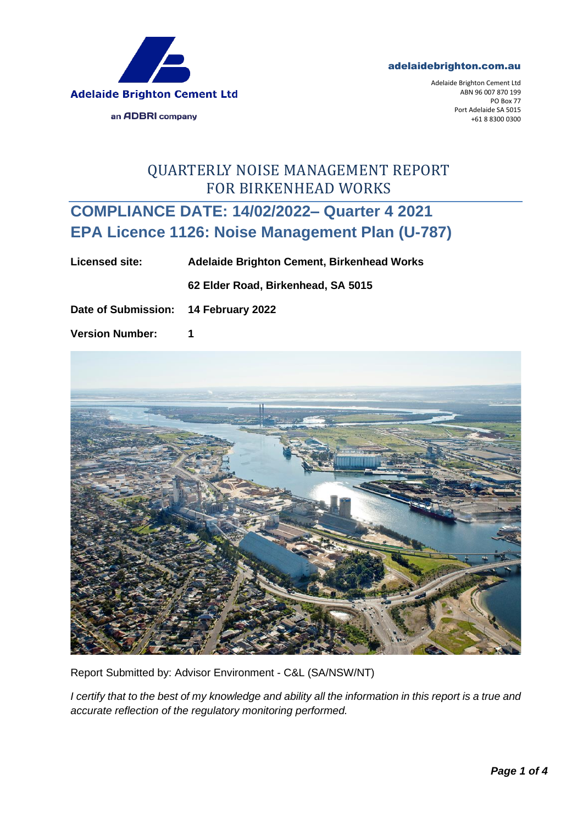



Adelaide Brighton Cement Ltd ABN 96 007 870 199 PO Box 77 Port Adelaide SA 5015 +61 8 8300 0300

## QUARTERLY NOISE MANAGEMENT REPORT FOR BIRKENHEAD WORKS

## **COMPLIANCE DATE: 14/02/2022– Quarter 4 2021 EPA Licence 1126: Noise Management Plan (U-787)**

**Licensed site: Adelaide Brighton Cement, Birkenhead Works 62 Elder Road, Birkenhead, SA 5015**

**Date of Submission: 14 February 2022**

**Version Number: 1**



Report Submitted by: Advisor Environment - C&L (SA/NSW/NT)

*I certify that to the best of my knowledge and ability all the information in this report is a true and accurate reflection of the regulatory monitoring performed.*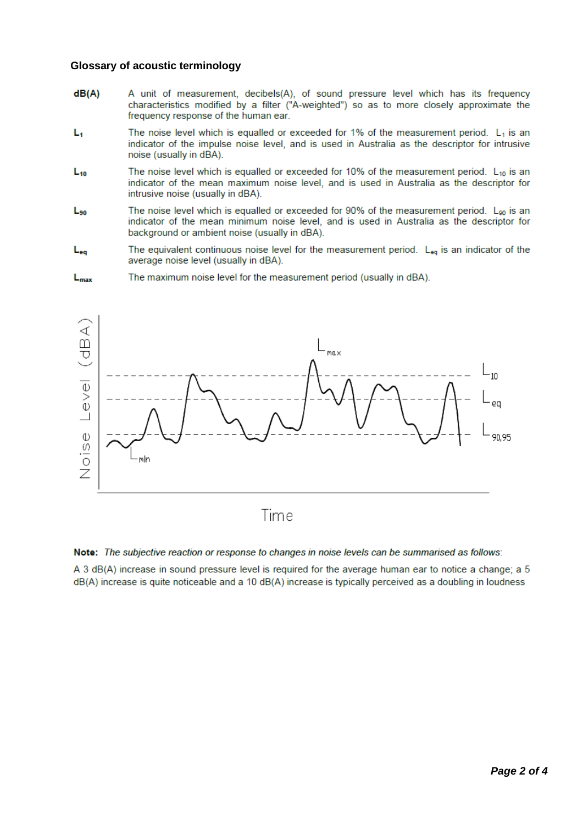## **Glossary of acoustic terminology**

- $dB(A)$ A unit of measurement, decibels(A), of sound pressure level which has its frequency characteristics modified by a filter ("A-weighted") so as to more closely approximate the frequency response of the human ear.
- L, The noise level which is equalled or exceeded for 1% of the measurement period.  $L_1$  is an indicator of the impulse noise level, and is used in Australia as the descriptor for intrusive noise (usually in dBA).
- The noise level which is equalled or exceeded for 10% of the measurement period.  $L_{10}$  is an  $L_{10}$ indicator of the mean maximum noise level, and is used in Australia as the descriptor for intrusive noise (usually in dBA).
- The noise level which is equalled or exceeded for 90% of the measurement period.  $L_{90}$  is an  $L_{90}$ indicator of the mean minimum noise level, and is used in Australia as the descriptor for background or ambient noise (usually in dBA).
- The equivalent continuous noise level for the measurement period.  $L_{eq}$  is an indicator of the  $L_{eq}$ average noise level (usually in dBA).





Note: The subjective reaction or response to changes in noise levels can be summarised as follows:

A 3 dB(A) increase in sound pressure level is required for the average human ear to notice a change; a 5 dB(A) increase is quite noticeable and a 10 dB(A) increase is typically perceived as a doubling in loudness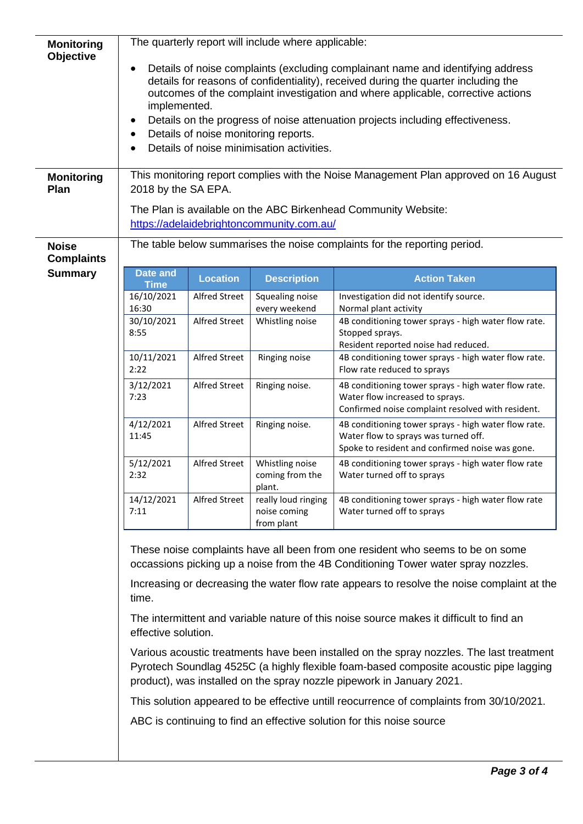| <b>Monitoring</b><br>Objective<br><b>Monitoring</b><br>Plan | The quarterly report will include where applicable:<br>Details of noise complaints (excluding complainant name and identifying address<br>details for reasons of confidentiality), received during the quarter including the<br>outcomes of the complaint investigation and where applicable, corrective actions<br>implemented.<br>Details on the progress of noise attenuation projects including effectiveness.<br>$\bullet$<br>Details of noise monitoring reports.<br>Details of noise minimisation activities.<br>This monitoring report complies with the Noise Management Plan approved on 16 August<br>2018 by the SA EPA.<br>The Plan is available on the ABC Birkenhead Community Website:<br>https://adelaidebrightoncommunity.com.au/ |                      |                                                   |                                                                                                                                                 |
|-------------------------------------------------------------|----------------------------------------------------------------------------------------------------------------------------------------------------------------------------------------------------------------------------------------------------------------------------------------------------------------------------------------------------------------------------------------------------------------------------------------------------------------------------------------------------------------------------------------------------------------------------------------------------------------------------------------------------------------------------------------------------------------------------------------------------|----------------------|---------------------------------------------------|-------------------------------------------------------------------------------------------------------------------------------------------------|
| <b>Noise</b><br><b>Complaints</b>                           | The table below summarises the noise complaints for the reporting period.                                                                                                                                                                                                                                                                                                                                                                                                                                                                                                                                                                                                                                                                          |                      |                                                   |                                                                                                                                                 |
| <b>Summary</b>                                              | <b>Date and</b>                                                                                                                                                                                                                                                                                                                                                                                                                                                                                                                                                                                                                                                                                                                                    | <b>Location</b>      | <b>Description</b>                                | <b>Action Taken</b>                                                                                                                             |
|                                                             | <b>Time</b><br>16/10/2021                                                                                                                                                                                                                                                                                                                                                                                                                                                                                                                                                                                                                                                                                                                          | Alfred Street        | Squealing noise                                   | Investigation did not identify source.                                                                                                          |
|                                                             | 16:30                                                                                                                                                                                                                                                                                                                                                                                                                                                                                                                                                                                                                                                                                                                                              |                      | every weekend                                     | Normal plant activity                                                                                                                           |
|                                                             | 30/10/2021<br>8:55                                                                                                                                                                                                                                                                                                                                                                                                                                                                                                                                                                                                                                                                                                                                 | <b>Alfred Street</b> | Whistling noise                                   | 4B conditioning tower sprays - high water flow rate.<br>Stopped sprays.                                                                         |
|                                                             | 10/11/2021                                                                                                                                                                                                                                                                                                                                                                                                                                                                                                                                                                                                                                                                                                                                         | Alfred Street        | Ringing noise                                     | Resident reported noise had reduced.<br>4B conditioning tower sprays - high water flow rate.                                                    |
|                                                             | 2:22                                                                                                                                                                                                                                                                                                                                                                                                                                                                                                                                                                                                                                                                                                                                               |                      |                                                   | Flow rate reduced to sprays                                                                                                                     |
|                                                             | 3/12/2021<br>7:23                                                                                                                                                                                                                                                                                                                                                                                                                                                                                                                                                                                                                                                                                                                                  | <b>Alfred Street</b> | Ringing noise.                                    | 4B conditioning tower sprays - high water flow rate.<br>Water flow increased to sprays.<br>Confirmed noise complaint resolved with resident.    |
|                                                             | 4/12/2021<br>11:45                                                                                                                                                                                                                                                                                                                                                                                                                                                                                                                                                                                                                                                                                                                                 | <b>Alfred Street</b> | Ringing noise.                                    | 4B conditioning tower sprays - high water flow rate.<br>Water flow to sprays was turned off.<br>Spoke to resident and confirmed noise was gone. |
|                                                             | 5/12/2021<br>2:32                                                                                                                                                                                                                                                                                                                                                                                                                                                                                                                                                                                                                                                                                                                                  | <b>Alfred Street</b> | Whistling noise<br>coming from the<br>plant.      | 4B conditioning tower sprays - high water flow rate<br>Water turned off to sprays                                                               |
|                                                             | 14/12/2021<br>7:11                                                                                                                                                                                                                                                                                                                                                                                                                                                                                                                                                                                                                                                                                                                                 | <b>Alfred Street</b> | really loud ringing<br>noise coming<br>from plant | 4B conditioning tower sprays - high water flow rate<br>Water turned off to sprays                                                               |
|                                                             | These noise complaints have all been from one resident who seems to be on some<br>occassions picking up a noise from the 4B Conditioning Tower water spray nozzles.                                                                                                                                                                                                                                                                                                                                                                                                                                                                                                                                                                                |                      |                                                   |                                                                                                                                                 |
|                                                             | Increasing or decreasing the water flow rate appears to resolve the noise complaint at the<br>time.<br>The intermittent and variable nature of this noise source makes it difficult to find an<br>effective solution.                                                                                                                                                                                                                                                                                                                                                                                                                                                                                                                              |                      |                                                   |                                                                                                                                                 |
|                                                             |                                                                                                                                                                                                                                                                                                                                                                                                                                                                                                                                                                                                                                                                                                                                                    |                      |                                                   |                                                                                                                                                 |
|                                                             | Various acoustic treatments have been installed on the spray nozzles. The last treatment<br>Pyrotech Soundlag 4525C (a highly flexible foam-based composite acoustic pipe lagging<br>product), was installed on the spray nozzle pipework in January 2021.                                                                                                                                                                                                                                                                                                                                                                                                                                                                                         |                      |                                                   |                                                                                                                                                 |
|                                                             | This solution appeared to be effective untill reocurrence of complaints from 30/10/2021.                                                                                                                                                                                                                                                                                                                                                                                                                                                                                                                                                                                                                                                           |                      |                                                   |                                                                                                                                                 |
|                                                             | ABC is continuing to find an effective solution for this noise source                                                                                                                                                                                                                                                                                                                                                                                                                                                                                                                                                                                                                                                                              |                      |                                                   |                                                                                                                                                 |
|                                                             |                                                                                                                                                                                                                                                                                                                                                                                                                                                                                                                                                                                                                                                                                                                                                    |                      |                                                   |                                                                                                                                                 |